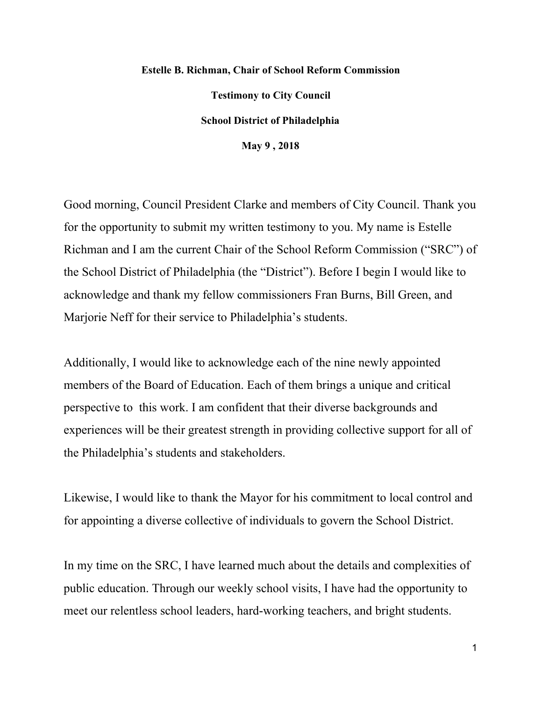## **Estelle B. Richman, Chair of School Reform Commission Testimony to City Council School District of Philadelphia May 9 , 2018**

Good morning, Council President Clarke and members of City Council. Thank you for the opportunity to submit my written testimony to you. My name is Estelle Richman and I am the current Chair of the School Reform Commission ("SRC") of the School District of Philadelphia (the "District"). Before I begin I would like to acknowledge and thank my fellow commissioners Fran Burns, Bill Green, and Marjorie Neff for their service to Philadelphia's students.

Additionally, I would like to acknowledge each of the nine newly appointed members of the Board of Education. Each of them brings a unique and critical perspective to this work. I am confident that their diverse backgrounds and experiences will be their greatest strength in providing collective support for all of the Philadelphia's students and stakeholders.

Likewise, I would like to thank the Mayor for his commitment to local control and for appointing a diverse collective of individuals to govern the School District.

In my time on the SRC, I have learned much about the details and complexities of public education. Through our weekly school visits, I have had the opportunity to meet our relentless school leaders, hard-working teachers, and bright students.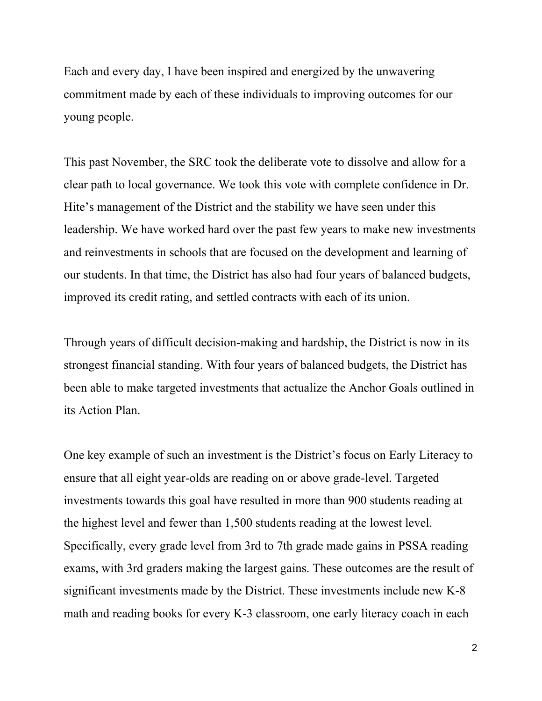Each and every day, I have been inspired and energized by the unwavering commitment made by each of these individuals to improving outcomes for our young people.

This past November, the SRC took the deliberate vote to dissolve and allow for a clear path to local governance. We took this vote with complete confidence in Dr. Hite's management of the District and the stability we have seen under this leadership. We have worked hard over the past few years to make new investments and reinvestments in schools that are focused on the development and learning of our students. In that time, the District has also had four years of balanced budgets, improved its credit rating, and settled contracts with each of its union.

Through years of difficult decision-making and hardship, the District is now in its strongest financial standing. With four years of balanced budgets, the District has been able to make targeted investments that actualize the Anchor Goals outlined in its Action Plan.

One key example of such an investment is the District's focus on Early Literacy to ensure that all eight year-olds are reading on or above grade-level. Targeted investments towards this goal have resulted in more than 900 students reading at the highest level and fewer than 1,500 students reading at the lowest level. Specifically, every grade level from 3rd to 7th grade made gains in PSSA reading exams, with 3rd graders making the largest gains. These outcomes are the result of significant investments made by the District. These investments include new K-8 math and reading books for every K-3 classroom, one early literacy coach in each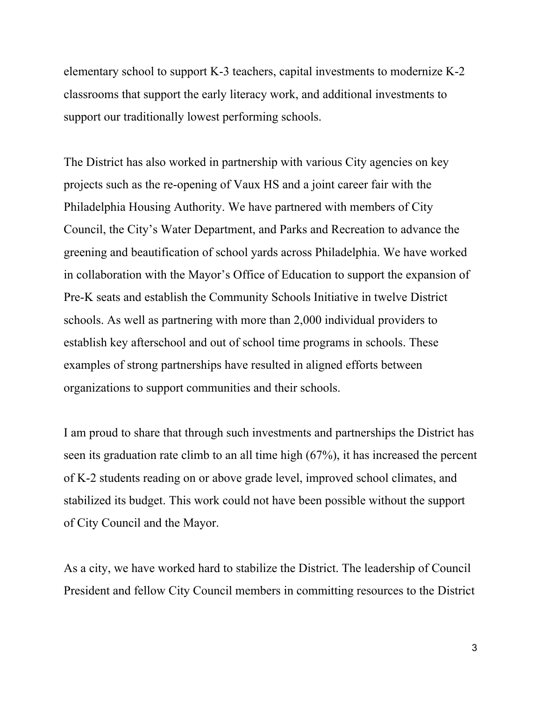elementary school to support K-3 teachers, capital investments to modernize K-2 classrooms that support the early literacy work, and additional investments to support our traditionally lowest performing schools.

The District has also worked in partnership with various City agencies on key projects such as the re-opening of Vaux HS and a joint career fair with the Philadelphia Housing Authority. We have partnered with members of City Council, the City's Water Department, and Parks and Recreation to advance the greening and beautification of school yards across Philadelphia. We have worked in collaboration with the Mayor's Office of Education to support the expansion of Pre-K seats and establish the Community Schools Initiative in twelve District schools. As well as partnering with more than 2,000 individual providers to establish key afterschool and out of school time programs in schools. These examples of strong partnerships have resulted in aligned efforts between organizations to support communities and their schools.

I am proud to share that through such investments and partnerships the District has seen its graduation rate climb to an all time high (67%), it has increased the percent of K-2 students reading on or above grade level, improved school climates, and stabilized its budget. This work could not have been possible without the support of City Council and the Mayor.

As a city, we have worked hard to stabilize the District. The leadership of Council President and fellow City Council members in committing resources to the District